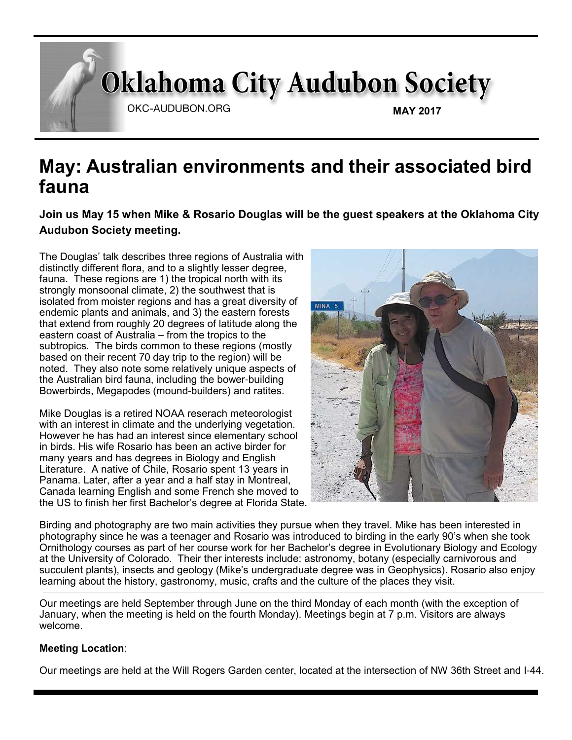# **Oklahoma City Audubon Society**

OKC-AUDUBON.ORG

**MAY 2017**

# **May: Australian environments and their associated bird fauna**

**Join us May 15 when Mike & Rosario Douglas will be the guest speakers at the Oklahoma City Audubon Society meeting.**

The Douglas' talk describes three regions of Australia with distinctly different flora, and to a slightly lesser degree, fauna. These regions are 1) the tropical north with its strongly monsoonal climate, 2) the southwest that is isolated from moister regions and has a great diversity of endemic plants and animals, and 3) the eastern forests that extend from roughly 20 degrees of latitude along the eastern coast of Australia – from the tropics to the subtropics. The birds common to these regions (mostly based on their recent 70 day trip to the region) will be noted. They also note some relatively unique aspects of the Australian bird fauna, including the bower-building Bowerbirds, Megapodes (mound-builders) and ratites.

Mike Douglas is a retired NOAA reserach meteorologist with an interest in climate and the underlying vegetation. However he has had an interest since elementary school in birds. His wife Rosario has been an active birder for many years and has degrees in Biology and English Literature. A native of Chile, Rosario spent 13 years in Panama. Later, after a year and a half stay in Montreal, Canada learning English and some French she moved to the US to finish her first Bachelor's degree at Florida State.



Birding and photography are two main activities they pursue when they travel. Mike has been interested in photography since he was a teenager and Rosario was introduced to birding in the early 90's when she took Ornithology courses as part of her course work for her Bachelor's degree in Evolutionary Biology and Ecology at the University of Colorado. Their ther interests include: astronomy, botany (especially carnivorous and succulent plants), insects and geology (Mike's undergraduate degree was in Geophysics). Rosario also enjoy learning about the history, gastronomy, music, crafts and the culture of the places they visit.

Our meetings are held September through June on the third Monday of each month (with the exception of January, when the meeting is held on the fourth Monday). Meetings begin at 7 p.m. Visitors are always welcome.

#### **Meeting Location**:

Our meetings are held at the Will Rogers Garden center, located at the intersection of NW 36th Street and I-44.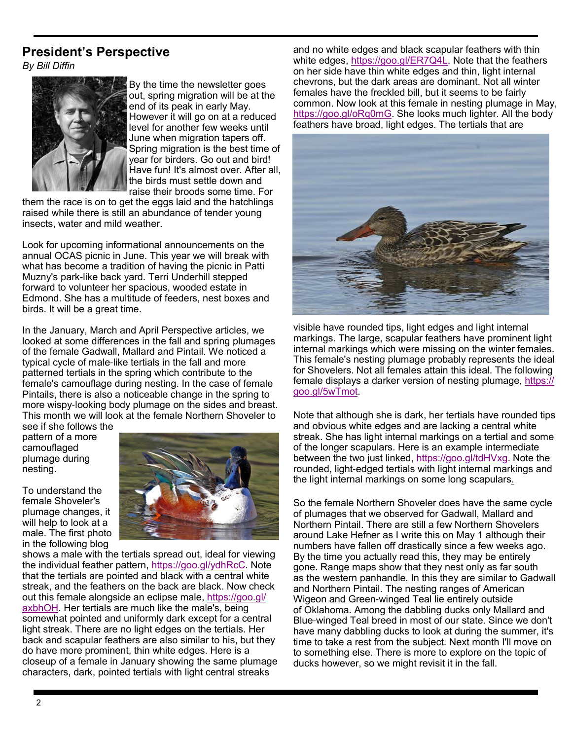### **President's Perspective**

*By Bill Diffin*



By the time the newsletter goes out, spring migration will be at the end of its peak in early May. However it will go on at a reduced level for another few weeks until June when migration tapers off. Spring migration is the best time of year for birders. Go out and bird! Have fun! It's almost over. After all, the birds must settle down and raise their broods some time. For

them the race is on to get the eggs laid and the hatchlings raised while there is still an abundance of tender young insects, water and mild weather.

Look for upcoming informational announcements on the annual OCAS picnic in June. This year we will break with what has become a tradition of having the picnic in Patti Muzny's park-like back yard. Terri Underhill stepped forward to volunteer her spacious, wooded estate in Edmond. She has a multitude of feeders, nest boxes and birds. It will be a great time.

In the January, March and April Perspective articles, we looked at some differences in the fall and spring plumages of the female Gadwall, Mallard and Pintail. We noticed a typical cycle of male-like tertials in the fall and more patterned tertials in the spring which contribute to the female's camouflage during nesting. In the case of female Pintails, there is also a noticeable change in the spring to more wispy-looking body plumage on the sides and breast. This month we will look at the female Northern Shoveler to see if she follows the

pattern of a more camouflaged plumage during nesting.

To understand the female Shoveler's plumage changes, it will help to look at a male. The first photo in the following blog



shows a male with the tertials spread out, ideal for viewing the individual feather pattern, https://goo.gl/ydhRcC. Note that the tertials are pointed and black with a central white streak, and the feathers on the back are black. Now check out this female alongside an eclipse male, https://goo.gl/ axbhOH. Her tertials are much like the male's, being somewhat pointed and uniformly dark except for a central light streak. There are no light edges on the tertials. Her back and scapular feathers are also similar to his, but they do have more prominent, thin white edges. Here is a closeup of a female in January showing the same plumage characters, dark, pointed tertials with light central streaks

and no white edges and black scapular feathers with thin white edges, https://goo.gl/ER7Q4L. Note that the feathers on her side have thin white edges and thin, light internal chevrons, but the dark areas are dominant. Not all winter females have the freckled bill, but it seems to be fairly common. Now look at this female in nesting plumage in May, https://goo.gl/oRq0mG. She looks much lighter. All the body feathers have broad, light edges. The tertials that are



visible have rounded tips, light edges and light internal markings. The large, scapular feathers have prominent light internal markings which were missing on the winter females. This female's nesting plumage probably represents the ideal for Shovelers. Not all females attain this ideal. The following female displays a darker version of nesting plumage, https:// goo.gl/5wTmot.

Note that although she is dark, her tertials have rounded tips and obvious white edges and are lacking a central white streak. She has light internal markings on a tertial and some of the longer scapulars. Here is an example intermediate between the two just linked, https://goo.gl/tdHVxg. Note the rounded, light-edged tertials with light internal markings and the light internal markings on some long scapulars.

So the female Northern Shoveler does have the same cycle of plumages that we observed for Gadwall, Mallard and Northern Pintail. There are still a few Northern Shovelers around Lake Hefner as I write this on May 1 although their numbers have fallen off drastically since a few weeks ago. By the time you actually read this, they may be entirely gone. Range maps show that they nest only as far south as the western panhandle. In this they are similar to Gadwall and Northern Pintail. The nesting ranges of American Wigeon and Green-winged Teal lie entirely outside of Oklahoma. Among the dabbling ducks only Mallard and Blue-winged Teal breed in most of our state. Since we don't have many dabbling ducks to look at during the summer, it's time to take a rest from the subject. Next month I'll move on to something else. There is more to explore on the topic of ducks however, so we might revisit it in the fall.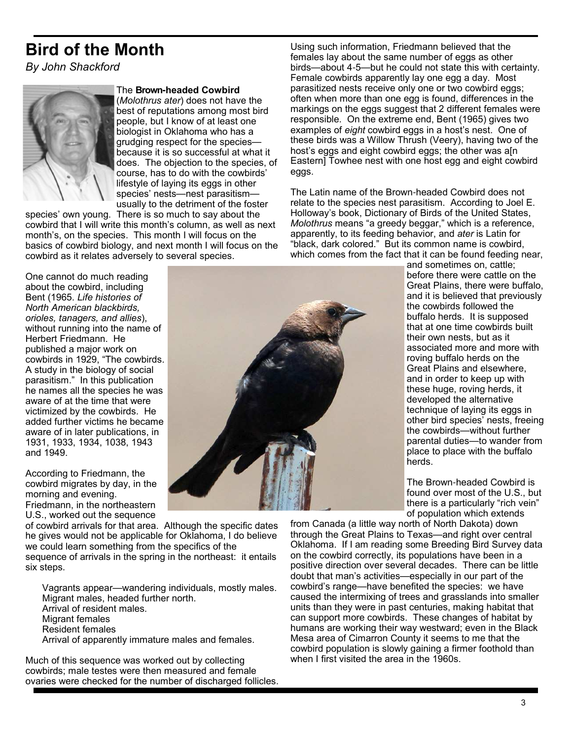# **Bird of the Month**

*By John Shackford*



#### The **Brown-headed Cowbird**

(*Molothrus ater*) does not have the best of reputations among most bird people, but I know of at least one biologist in Oklahoma who has a grudging respect for the species because it is so successful at what it does. The objection to the species, of course, has to do with the cowbirds' lifestyle of laying its eggs in other species' nests—nest parasitism usually to the detriment of the foster

species' own young. There is so much to say about the cowbird that I will write this month's column, as well as next month's, on the species. This month I will focus on the basics of cowbird biology, and next month I will focus on the cowbird as it relates adversely to several species.

Using such information, Friedmann believed that the females lay about the same number of eggs as other birds—about 4-5—but he could not state this with certainty. Female cowbirds apparently lay one egg a day. Most parasitized nests receive only one or two cowbird eggs; often when more than one egg is found, differences in the markings on the eggs suggest that 2 different females were responsible. On the extreme end, Bent (1965) gives two examples of *eight* cowbird eggs in a host's nest. One of these birds was a Willow Thrush (Veery), having two of the host's eggs and eight cowbird eggs; the other was a[n Eastern] Towhee nest with one host egg and eight cowbird eggs.

The Latin name of the Brown-headed Cowbird does not relate to the species nest parasitism. According to Joel E. Holloway's book, Dictionary of Birds of the United States, *Molothrus* means "a greedy beggar," which is a reference, apparently, to its feeding behavior, and *ater* is Latin for "black, dark colored." But its common name is cowbird, which comes from the fact that it can be found feeding near,

One cannot do much reading about the cowbird, including Bent (1965. *Life histories of North American blackbirds, orioles, tanagers, and allies*), without running into the name of Herbert Friedmann. He published a major work on cowbirds in 1929, "The cowbirds. A study in the biology of social parasitism." In this publication he names all the species he was aware of at the time that were victimized by the cowbirds. He added further victims he became aware of in later publications, in 1931, 1933, 1934, 1038, 1943 and 1949.

According to Friedmann, the cowbird migrates by day, in the morning and evening. Friedmann, in the northeastern U.S., worked out the sequence



of cowbird arrivals for that area. Although the specific dates he gives would not be applicable for Oklahoma, I do believe we could learn something from the specifics of the sequence of arrivals in the spring in the northeast: it entails

six steps.

Vagrants appear—wandering individuals, mostly males. Migrant males, headed further north. Arrival of resident males. Migrant females Resident females Arrival of apparently immature males and females.

Much of this sequence was worked out by collecting cowbirds; male testes were then measured and female ovaries were checked for the number of discharged follicles. and sometimes on, cattle; before there were cattle on the Great Plains, there were buffalo, and it is believed that previously the cowbirds followed the buffalo herds. It is supposed that at one time cowbirds built their own nests, but as it associated more and more with roving buffalo herds on the Great Plains and elsewhere, and in order to keep up with these huge, roving herds, it developed the alternative technique of laying its eggs in other bird species' nests, freeing the cowbirds—without further parental duties—to wander from place to place with the buffalo herds.

The Brown-headed Cowbird is found over most of the U.S., but there is a particularly "rich vein" of population which extends

from Canada (a little way north of North Dakota) down through the Great Plains to Texas—and right over central Oklahoma. If I am reading some Breeding Bird Survey data on the cowbird correctly, its populations have been in a positive direction over several decades. There can be little doubt that man's activities—especially in our part of the cowbird's range—have benefited the species: we have caused the intermixing of trees and grasslands into smaller units than they were in past centuries, making habitat that can support more cowbirds. These changes of habitat by humans are working their way westward; even in the Black Mesa area of Cimarron County it seems to me that the cowbird population is slowly gaining a firmer foothold than when I first visited the area in the 1960s.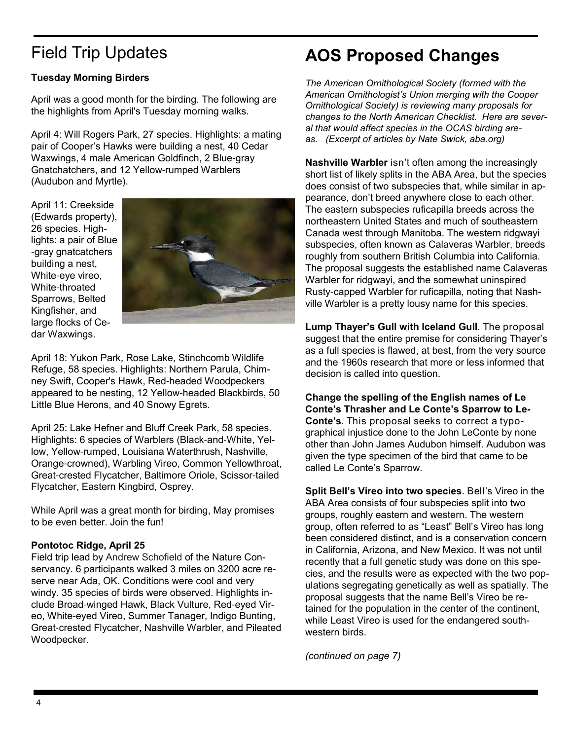# Field Trip Updates

#### **Tuesday Morning Birders**

April was a good month for the birding. The following are the highlights from April's Tuesday morning walks.

April 4: Will Rogers Park, 27 species. Highlights: a mating pair of Cooper's Hawks were building a nest, 40 Cedar Waxwings, 4 male American Goldfinch, 2 Blue-gray Gnatchatchers, and 12 Yellow-rumped Warblers (Audubon and Myrtle).

April 11: Creekside (Edwards property), 26 species. Highlights: a pair of Blue -gray gnatcatchers building a nest, White-eye vireo, White-throated Sparrows, Belted Kingfisher, and large flocks of Cedar Waxwings.



April 18: Yukon Park, Rose Lake, Stinchcomb Wildlife Refuge, 58 species. Highlights: Northern Parula, Chimney Swift, Cooper's Hawk, Red-headed Woodpeckers appeared to be nesting, 12 Yellow-headed Blackbirds, 50 Little Blue Herons, and 40 Snowy Egrets.

April 25: Lake Hefner and Bluff Creek Park, 58 species. Highlights: 6 species of Warblers (Black-and-White, Yellow, Yellow-rumped, Louisiana Waterthrush, Nashville, Orange-crowned), Warbling Vireo, Common Yellowthroat, Great-crested Flycatcher, Baltimore Oriole, Scissor-tailed Flycatcher, Eastern Kingbird, Osprey.

While April was a great month for birding, May promises to be even better. Join the fun!

#### **Pontotoc Ridge, April 25**

Field trip lead by Andrew Schofield of the Nature Conservancy. 6 participants walked 3 miles on 3200 acre reserve near Ada, OK. Conditions were cool and very windy. 35 species of birds were observed. Highlights include Broad-winged Hawk, Black Vulture, Red-eyed Vireo, White-eyed Vireo, Summer Tanager, Indigo Bunting, Great-crested Flycatcher, Nashville Warbler, and Pileated Woodpecker.

# **AOS Proposed Changes**

*The American Ornithological Society (formed with the American Ornithologist's Union merging with the Cooper Ornithological Society) is reviewing many proposals for changes to the North American Checklist. Here are several that would affect species in the OCAS birding areas. (Excerpt of articles by Nate Swick, aba.org)*

**Nashville Warbler** isn't often among the increasingly short list of likely splits in the ABA Area, but the species does consist of two subspecies that, while similar in appearance, don't breed anywhere close to each other. The eastern subspecies ruficapilla breeds across the northeastern United States and much of southeastern Canada west through Manitoba. The western ridgwayi subspecies, often known as Calaveras Warbler, breeds roughly from southern British Columbia into California. The proposal suggests the established name Calaveras Warbler for ridgwayi, and the somewhat uninspired Rusty-capped Warbler for ruficapilla, noting that Nashville Warbler is a pretty lousy name for this species.

**Lump Thayer's Gull with Iceland Gull**. The proposal suggest that the entire premise for considering Thayer's as a full species is flawed, at best, from the very source and the 1960s research that more or less informed that decision is called into question.

**Change the spelling of the English names of Le Conte's Thrasher and Le Conte's Sparrow to Le-Conte's**. This proposal seeks to correct a typographical injustice done to the John LeConte by none other than John James Audubon himself. Audubon was given the type specimen of the bird that came to be called Le Conte's Sparrow.

**Split Bell's Vireo into two species**. Bell's Vireo in the ABA Area consists of four subspecies split into two groups, roughly eastern and western. The western group, often referred to as "Least" Bell's Vireo has long been considered distinct, and is a conservation concern in California, Arizona, and New Mexico. It was not until recently that a full genetic study was done on this species, and the results were as expected with the two populations segregating genetically as well as spatially. The proposal suggests that the name Bell's Vireo be retained for the population in the center of the continent, while Least Vireo is used for the endangered southwestern birds.

*(continued on page 7)*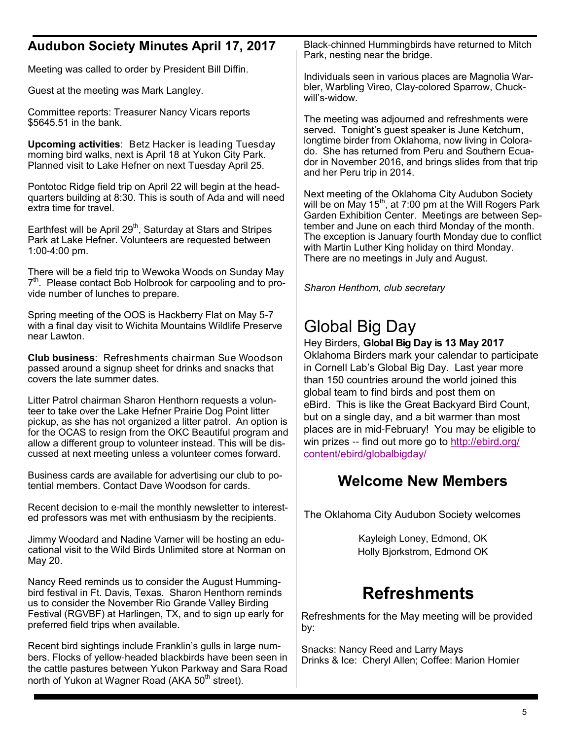### **Audubon Society Minutes April 17, 2017**

Meeting was called to order by President Bill Diffin.

Guest at the meeting was Mark Langley.

Committee reports: Treasurer Nancy Vicars reports \$5645.51 in the bank.

**Upcoming activities**: Betz Hacker is leading Tuesday morning bird walks, next is April 18 at Yukon City Park. Planned visit to Lake Hefner on next Tuesday April 25.

Pontotoc Ridge field trip on April 22 will begin at the headquarters building at 8:30. This is south of Ada and will need extra time for travel.

Earthfest will be April 29<sup>th</sup>, Saturday at Stars and Stripes Park at Lake Hefner. Volunteers are requested between 1:00-4:00 pm.

There will be a field trip to Wewoka Woods on Sunday May 7<sup>th</sup>. Please contact Bob Holbrook for carpooling and to provide number of lunches to prepare.

Spring meeting of the OOS is Hackberry Flat on May 5-7 with a final day visit to Wichita Mountains Wildlife Preserve near Lawton.

**Club business**: Refreshments chairman Sue Woodson passed around a signup sheet for drinks and snacks that covers the late summer dates.

Litter Patrol chairman Sharon Henthorn requests a volunteer to take over the Lake Hefner Prairie Dog Point litter pickup, as she has not organized a litter patrol. An option is for the OCAS to resign from the OKC Beautiful program and allow a different group to volunteer instead. This will be discussed at next meeting unless a volunteer comes forward.

Business cards are available for advertising our club to potential members. Contact Dave Woodson for cards.

Recent decision to e-mail the monthly newsletter to interested professors was met with enthusiasm by the recipients.

Jimmy Woodard and Nadine Varner will be hosting an educational visit to the Wild Birds Unlimited store at Norman on May 20.

Nancy Reed reminds us to consider the August Hummingbird festival in Ft. Davis, Texas. Sharon Henthorn reminds us to consider the November Rio Grande Valley Birding Festival (RGVBF) at Harlingen, TX, and to sign up early for preferred field trips when available.

Recent bird sightings include Franklin's gulls in large numbers. Flocks of yellow-headed blackbirds have been seen in the cattle pastures between Yukon Parkway and Sara Road north of Yukon at Wagner Road (AKA 50<sup>th</sup> street).

Black-chinned Hummingbirds have returned to Mitch Park, nesting near the bridge.

Individuals seen in various places are Magnolia Warbler, Warbling Vireo, Clay-colored Sparrow, Chuckwill's-widow.

The meeting was adjourned and refreshments were served. Tonight's guest speaker is June Ketchum, longtime birder from Oklahoma, now living in Colorado. She has returned from Peru and Southern Ecuador in November 2016, and brings slides from that trip and her Peru trip in 2014.

Next meeting of the Oklahoma City Audubon Society will be on May  $15<sup>th</sup>$ , at 7:00 pm at the Will Rogers Park Garden Exhibition Center. Meetings are between September and June on each third Monday of the month. The exception is January fourth Monday due to conflict with Martin Luther King holiday on third Monday. There are no meetings in July and August.

*Sharon Henthorn, club secretary* 

## Global Big Day

#### Hey Birders, **Global Big Day is 13 May 2017**

Oklahoma Birders mark your calendar to participate in Cornell Lab's Global Big Day. Last year more than 150 countries around the world joined this global team to find birds and post them on eBird. This is like the Great Backyard Bird Count, but on a single day, and a bit warmer than most places are in mid-February! You may be eligible to win prizes -- find out more go to http://ebird.org/ content/ebird/globalbigday/

### **Welcome New Members**

The Oklahoma City Audubon Society welcomes

Kayleigh Loney, Edmond, OK Holly Bjorkstrom, Edmond OK

### **Refreshments**

Refreshments for the May meeting will be provided by:

Snacks: Nancy Reed and Larry Mays Drinks & Ice: Cheryl Allen; Coffee: Marion Homier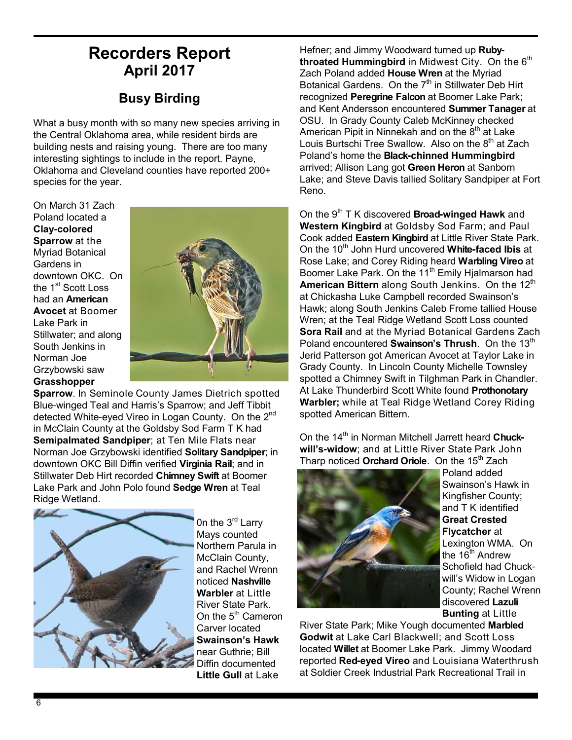### **Recorders Report April 2017**

### **Busy Birding**

What a busy month with so many new species arriving in the Central Oklahoma area, while resident birds are building nests and raising young. There are too many interesting sightings to include in the report. Payne, Oklahoma and Cleveland counties have reported 200+ species for the year.

On March 31 Zach Poland located a **Clay-colored Sparrow** at the Myriad Botanical Gardens in downtown OKC. On the 1<sup>st</sup> Scott Loss had an **American Avocet** at Boomer Lake Park in Stillwater; and along South Jenkins in Norman Joe Grzybowski saw **Grasshopper** 



**Sparrow**. In Seminole County James Dietrich spotted Blue-winged Teal and Harris's Sparrow; and Jeff Tibbit detected White-eyed Vireo in Logan County. On the 2<sup>nd</sup> in McClain County at the Goldsby Sod Farm T K had **Semipalmated Sandpiper**; at Ten Mile Flats near Norman Joe Grzybowski identified **Solitary Sandpiper**; in downtown OKC Bill Diffin verified **Virginia Rail**; and in Stillwater Deb Hirt recorded **Chimney Swift** at Boomer Lake Park and John Polo found **Sedge Wren** at Teal Ridge Wetland.



On the 3<sup>rd</sup> Larry Mays counted Northern Parula in McClain County, and Rachel Wrenn noticed **Nashville Warbler** at Little River State Park. On the  $5<sup>th</sup>$  Cameron Carver located **Swainson's Hawk** near Guthrie; Bill Diffin documented **Little Gull** at Lake

Hefner; and Jimmy Woodward turned up **Ruby**throated Hummingbird in Midwest City. On the 6<sup>th</sup> Zach Poland added **House Wren** at the Myriad Botanical Gardens. On the  $7<sup>th</sup>$  in Stillwater Deb Hirt recognized **Peregrine Falcon** at Boomer Lake Park; and Kent Andersson encountered **Summer Tanager** at OSU. In Grady County Caleb McKinney checked American Pipit in Ninnekah and on the  $8<sup>th</sup>$  at Lake Louis Burtschi Tree Swallow. Also on the 8<sup>th</sup> at Zach Poland's home the **Black-chinned Hummingbird** arrived; Allison Lang got **Green Heron** at Sanborn Lake; and Steve Davis tallied Solitary Sandpiper at Fort Reno.

On the 9th T K discovered **Broad-winged Hawk** and **Western Kingbird** at Goldsby Sod Farm; and Paul Cook added **Eastern Kingbird** at Little River State Park. On the 10th John Hurd uncovered **White-faced Ibis** at Rose Lake; and Corey Riding heard **Warbling Vireo** at Boomer Lake Park. On the 11<sup>th</sup> Emily Hjalmarson had **American Bittern** along South Jenkins. On the 12<sup>th</sup> at Chickasha Luke Campbell recorded Swainson's Hawk; along South Jenkins Caleb Frome tallied House Wren; at the Teal Ridge Wetland Scott Loss counted **Sora Rail** and at the Myriad Botanical Gardens Zach Poland encountered **Swainson's Thrush**. On the 13<sup>th</sup> Jerid Patterson got American Avocet at Taylor Lake in Grady County. In Lincoln County Michelle Townsley spotted a Chimney Swift in Tilghman Park in Chandler. At Lake Thunderbird Scott White found **Prothonotary Warbler;** while at Teal Ridge Wetland Corey Riding spotted American Bittern.

On the 14<sup>th</sup> in Norman Mitchell Jarrett heard Chuck**will's-widow**; and at Little River State Park John Tharp noticed **Orchard Oriole**. On the 15<sup>th</sup> Zach



Poland added Swainson's Hawk in Kingfisher County; and T K identified **Great Crested Flycatcher** at Lexington WMA. On the  $16^{\text{th}}$  Andrew Schofield had Chuckwill's Widow in Logan County; Rachel Wrenn discovered **Lazuli Bunting** at Little

River State Park; Mike Yough documented **Marbled Godwit** at Lake Carl Blackwell; and Scott Loss located **Willet** at Boomer Lake Park. Jimmy Woodard reported **Red-eyed Vireo** and Louisiana Waterthrush at Soldier Creek Industrial Park Recreational Trail in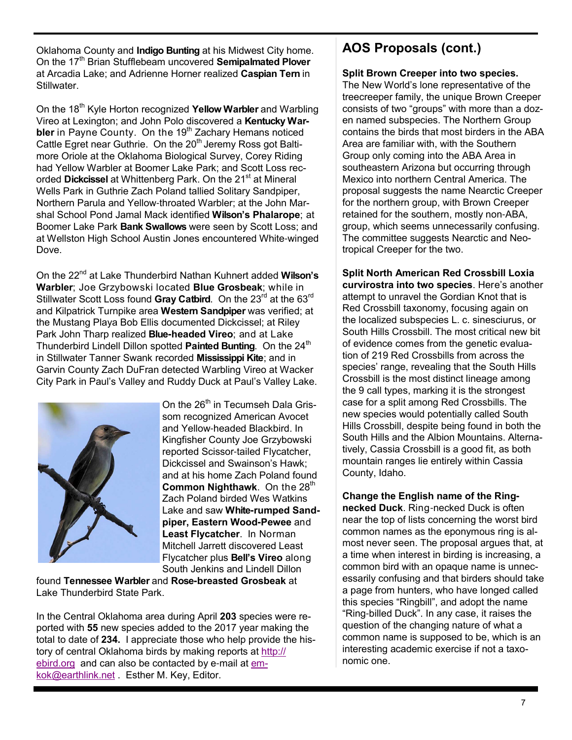Oklahoma County and **Indigo Bunting** at his Midwest City home. On the 17<sup>th</sup> Brian Stufflebeam uncovered **Semipalmated Plover** at Arcadia Lake; and Adrienne Horner realized **Caspian Tern** in Stillwater.

On the 18<sup>th</sup> Kyle Horton recognized **Yellow Warbler** and Warbling Vireo at Lexington; and John Polo discovered a **Kentucky Warbler** in Payne County. On the 19<sup>th</sup> Zachary Hemans noticed Cattle Egret near Guthrie. On the 20<sup>th</sup> Jeremy Ross got Baltimore Oriole at the Oklahoma Biological Survey, Corey Riding had Yellow Warbler at Boomer Lake Park; and Scott Loss recorded Dickcissel at Whittenberg Park. On the 21<sup>st</sup> at Mineral Wells Park in Guthrie Zach Poland tallied Solitary Sandpiper, Northern Parula and Yellow-throated Warbler; at the John Marshal School Pond Jamal Mack identified **Wilson's Phalarope**; at Boomer Lake Park **Bank Swallows** were seen by Scott Loss; and at Wellston High School Austin Jones encountered White-winged Dove.

On the 22nd at Lake Thunderbird Nathan Kuhnert added **Wilson's Warbler**; Joe Grzybowski located **Blue Grosbeak**; while in Stillwater Scott Loss found Gray Catbird. On the 23<sup>rd</sup> at the 63<sup>rd</sup> and Kilpatrick Turnpike area **Western Sandpiper** was verified; at the Mustang Playa Bob Ellis documented Dickcissel; at Riley Park John Tharp realized **Blue-headed Vireo**; and at Lake Thunderbird Lindell Dillon spotted Painted Bunting. On the 24<sup>th</sup> in Stillwater Tanner Swank recorded **Mississippi Kite**; and in Garvin County Zach DuFran detected Warbling Vireo at Wacker City Park in Paul's Valley and Ruddy Duck at Paul's Valley Lake.



On the 26<sup>th</sup> in Tecumseh Dala Grissom recognized American Avocet and Yellow-headed Blackbird. In Kingfisher County Joe Grzybowski reported Scissor-tailed Flycatcher, Dickcissel and Swainson's Hawk; and at his home Zach Poland found **Common Nighthawk.** On the 28<sup>th</sup> Zach Poland birded Wes Watkins Lake and saw **White-rumped Sandpiper, Eastern Wood-Pewee** and **Least Flycatcher**. In Norman Mitchell Jarrett discovered Least Flycatcher plus **Bell's Vireo** along South Jenkins and Lindell Dillon

found **Tennessee Warbler** and **Rose-breasted Grosbeak** at Lake Thunderbird State Park.

In the Central Oklahoma area during April **203** species were reported with **55** new species added to the 2017 year making the total to date of **234.** I appreciate those who help provide the history of central Oklahoma birds by making reports at http:// ebird.org and can also be contacted by e-mail at emkok@earthlink.net . Esther M. Key, Editor.

### **AOS Proposals (cont.)**

#### **Split Brown Creeper into two species.**

The New World's lone representative of the treecreeper family, the unique Brown Creeper consists of two "groups" with more than a dozen named subspecies. The Northern Group contains the birds that most birders in the ABA Area are familiar with, with the Southern Group only coming into the ABA Area in southeastern Arizona but occurring through Mexico into northern Central America. The proposal suggests the name Nearctic Creeper for the northern group, with Brown Creeper retained for the southern, mostly non-ABA, group, which seems unnecessarily confusing. The committee suggests Nearctic and Neotropical Creeper for the two.

**Split North American Red Crossbill Loxia curvirostra into two species**. Here's another attempt to unravel the Gordian Knot that is Red Crossbill taxonomy, focusing again on the localized subspecies L. c. sinesciurus, or South Hills Crossbill. The most critical new bit of evidence comes from the genetic evaluation of 219 Red Crossbills from across the species' range, revealing that the South Hills Crossbill is the most distinct lineage among the 9 call types, marking it is the strongest case for a split among Red Crossbills. The new species would potentially called South Hills Crossbill, despite being found in both the South Hills and the Albion Mountains. Alternatively, Cassia Crossbill is a good fit, as both mountain ranges lie entirely within Cassia County, Idaho.

**Change the English name of the Ringnecked Duck**. Ring-necked Duck is often near the top of lists concerning the worst bird common names as the eponymous ring is almost never seen. The proposal argues that, at a time when interest in birding is increasing, a common bird with an opaque name is unnecessarily confusing and that birders should take a page from hunters, who have longed called this species "Ringbill", and adopt the name "Ring-billed Duck". In any case, it raises the question of the changing nature of what a common name is supposed to be, which is an interesting academic exercise if not a taxonomic one.